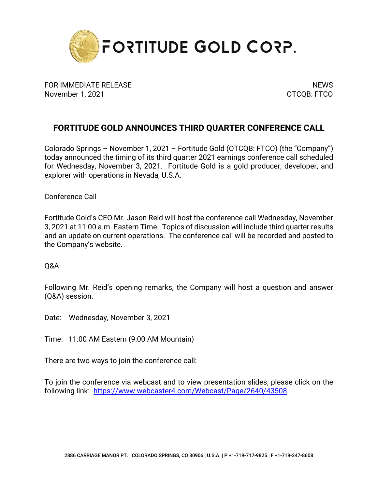

FOR IMMEDIATE RELEASE NEWS AND THE SERVICE OF STREET AND THE SERVICE OF STREET AND THE SERVICE OF STREET AND T November 1, 2021 **OTCOB: FTCO** 

## **FORTITUDE GOLD ANNOUNCES THIRD QUARTER CONFERENCE CALL**

Colorado Springs – November 1, 2021 – Fortitude Gold (OTCQB: FTCO) (the "Company") today announced the timing of its third quarter 2021 earnings conference call scheduled for Wednesday, November 3, 2021. Fortitude Gold is a gold producer, developer, and explorer with operations in Nevada, U.S.A.

Conference Call

Fortitude Gold's CEO Mr. Jason Reid will host the conference call Wednesday, November 3, 2021 at 11:00 a.m. Eastern Time. Topics of discussion will include third quarter results and an update on current operations. The conference call will be recorded and posted to the Company's website.

Q&A

Following Mr. Reid's opening remarks, the Company will host a question and answer (Q&A) session.

Date: Wednesday, November 3, 2021

Time: 11:00 AM Eastern (9:00 AM Mountain)

There are two ways to join the conference call:

To join the conference via webcast and to view presentation slides, please click on the following link: [https://www.webcaster4.com/Webcast/Page/2640/43508.](https://urldefense.proofpoint.com/v2/url?u=https-3A__www.webcaster4.com_Webcast_Page_2640_43508&d=DwMFAg&c=euGZstcaTDllvimEN8b7jXrwqOf-v5A_CdpgnVfiiMM&r=CDSfYHrgzOGf2w-Rwt6Uk0zVxiY8YrVRn781D9Ps-qc&m=B-gWi5YWB9MNbXWpV1Lna3YEXZY4AI1wA_XNvVt90AI&s=I08bY7vat_MZX05koKQSbQKh1HcaAP6UYhDTTvcgI-k&e=)